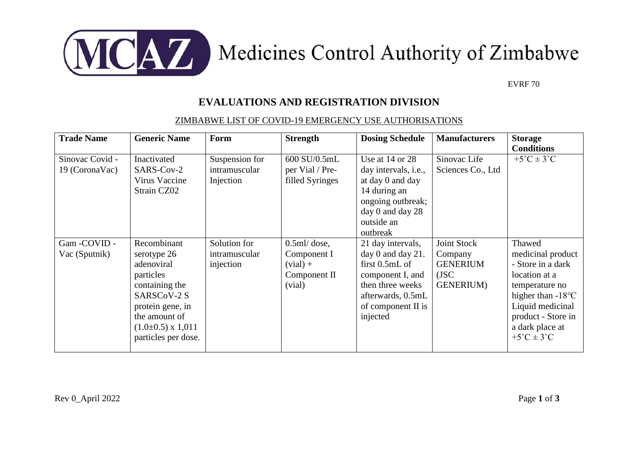

## MCAZ Medicines Control Authority of Zimbabwe

EVRF 70

## **EVALUATIONS AND REGISTRATION DIVISION**

## ZIMBABWE LIST OF COVID-19 EMERGENCY USE AUTHORISATIONS

| <b>Trade Name</b>                 | <b>Generic Name</b>                                                                                                                                                         | Form                                         | <b>Strength</b>                                                       | <b>Dosing Schedule</b>                                                                                                                                     | <b>Manufacturers</b>                                                      | <b>Storage</b><br><b>Conditions</b>                                                                                                                                                                             |
|-----------------------------------|-----------------------------------------------------------------------------------------------------------------------------------------------------------------------------|----------------------------------------------|-----------------------------------------------------------------------|------------------------------------------------------------------------------------------------------------------------------------------------------------|---------------------------------------------------------------------------|-----------------------------------------------------------------------------------------------------------------------------------------------------------------------------------------------------------------|
| Sinovac Covid -<br>19 (CoronaVac) | Inactivated<br>SARS-Cov-2<br>Virus Vaccine<br>Strain CZ02                                                                                                                   | Suspension for<br>intramuscular<br>Injection | 600 SU/0.5mL<br>per Vial / Pre-<br>filled Syringes                    | Use at $14$ or $28$<br>day intervals, <i>i.e.</i> ,<br>at day 0 and day<br>14 during an<br>ongoing outbreak;<br>day 0 and day 28<br>outside an<br>outbreak | Sinovac Life<br>Sciences Co., Ltd                                         | $+5^{\circ}C \pm 3^{\circ}C$                                                                                                                                                                                    |
| Gam-COVID-<br>Vac (Sputnik)       | Recombinant<br>serotype 26<br>adenoviral<br>particles<br>containing the<br>SARSCoV-2 S<br>protein gene, in<br>the amount of<br>$(1.0\pm0.5)$ x 1,011<br>particles per dose. | Solution for<br>intramuscular<br>injection   | $0.5$ ml/dose,<br>Component I<br>$(vial) +$<br>Component II<br>(vial) | 21 day intervals,<br>day 0 and day 21.<br>first $0.5$ mL of<br>component I, and<br>then three weeks<br>afterwards, 0.5mL<br>of component II is<br>injected | Joint Stock<br>Company<br><b>GENERIUM</b><br>$($ JSC<br><b>GENERIUM</b> ) | Thawed<br>medicinal product<br>- Store in a dark<br>location at a<br>temperature no<br>higher than $-18^{\circ}$ C<br>Liquid medicinal<br>product - Store in<br>a dark place at<br>$+5^{\circ}C \pm 3^{\circ}C$ |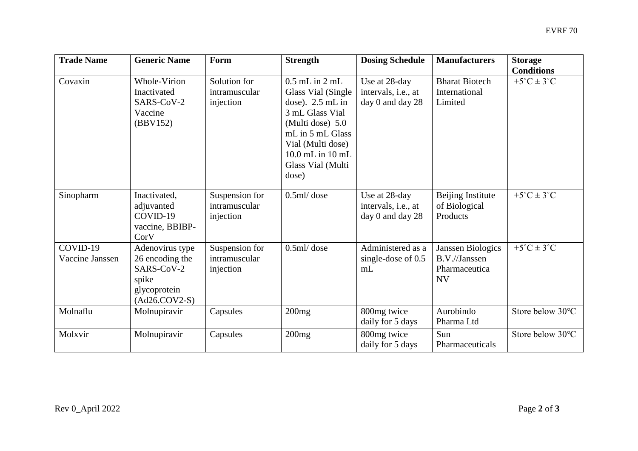| <b>Trade Name</b>           | <b>Generic Name</b>                                                                          | Form                                         | <b>Strength</b>                                                                                                                                                                                  | <b>Dosing Schedule</b>                                   | <b>Manufacturers</b>                                                    | <b>Storage</b><br><b>Conditions</b> |
|-----------------------------|----------------------------------------------------------------------------------------------|----------------------------------------------|--------------------------------------------------------------------------------------------------------------------------------------------------------------------------------------------------|----------------------------------------------------------|-------------------------------------------------------------------------|-------------------------------------|
| Covaxin                     | Whole-Virion<br>Inactivated<br>SARS-CoV-2<br>Vaccine<br>(BBV152)                             | Solution for<br>intramuscular<br>injection   | $0.5$ mL in $2$ mL<br>Glass Vial (Single<br>dose). $2.5$ mL in<br>3 mL Glass Vial<br>(Multi dose) 5.0<br>mL in 5 mL Glass<br>Vial (Multi dose)<br>10.0 mL in 10 mL<br>Glass Vial (Multi<br>dose) | Use at 28-day<br>intervals, i.e., at<br>day 0 and day 28 | <b>Bharat Biotech</b><br>International<br>Limited                       | $+5^{\circ}C \pm 3^{\circ}C$        |
| Sinopharm                   | Inactivated,<br>adjuvanted<br>COVID-19<br>vaccine, BBIBP-<br>CorV                            | Suspension for<br>intramuscular<br>injection | $0.5$ ml/dose                                                                                                                                                                                    | Use at 28-day<br>intervals, i.e., at<br>day 0 and day 28 | Beijing Institute<br>of Biological<br>Products                          | $+5^{\circ}C \pm 3^{\circ}C$        |
| COVID-19<br>Vaccine Janssen | Adenovirus type<br>26 encoding the<br>SARS-CoV-2<br>spike<br>glycoprotein<br>$(Ad26.COV2-S)$ | Suspension for<br>intramuscular<br>injection | $0.5$ ml/dose                                                                                                                                                                                    | Administered as a<br>single-dose of $0.5$<br>mL          | <b>Janssen Biologics</b><br>B.V.//Janssen<br>Pharmaceutica<br><b>NV</b> | $+5^{\circ}C \pm 3^{\circ}C$        |
| Molnaflu                    | Molnupiravir                                                                                 | Capsules                                     | 200mg                                                                                                                                                                                            | 800mg twice<br>daily for 5 days                          | Aurobindo<br>Pharma Ltd                                                 | Store below 30°C                    |
| Molxvir                     | Molnupiravir                                                                                 | Capsules                                     | 200mg                                                                                                                                                                                            | 800mg twice<br>daily for 5 days                          | Sun<br>Pharmaceuticals                                                  | Store below 30°C                    |